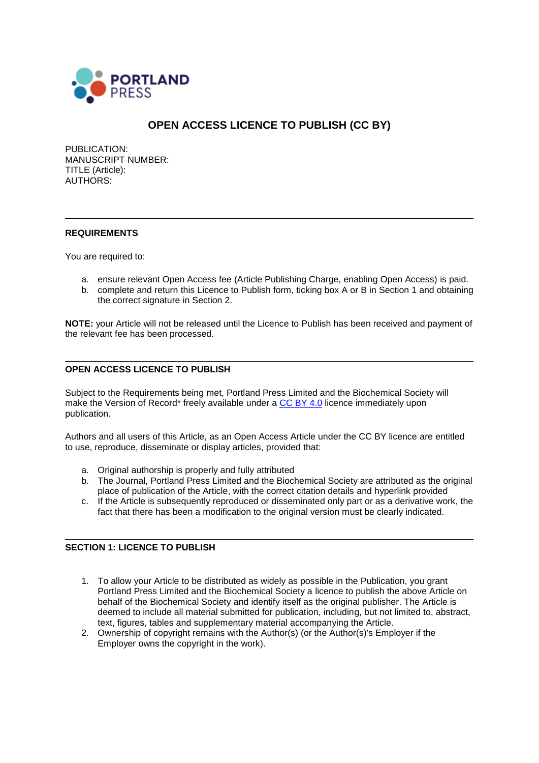

# **OPEN ACCESS LICENCE TO PUBLISH (CC BY)**

PUBLICATION: MANUSCRIPT NUMBER: TITLE (Article): AUTHORS:

### **REQUIREMENTS**

You are required to:

- a. ensure relevant Open Access fee (Article Publishing Charge, enabling Open Access) is paid.
- b. complete and return this Licence to Publish form, ticking box A or B in Section 1 and obtaining the correct signature in Section 2.

**NOTE:** your Article will not be released until the Licence to Publish has been received and payment of the relevant fee has been processed.

# **OPEN ACCESS LICENCE TO PUBLISH**

Subject to the Requirements being met, Portland Press Limited and the Biochemical Society will make the Version of Record\* freely available under a [CC BY 4.0](https://creativecommons.org/licenses/by/4.0/legalcode) licence immediately upon publication.

Authors and all users of this Article, as an Open Access Article under the CC BY licence are entitled to use, reproduce, disseminate or display articles, provided that:

- a. Original authorship is properly and fully attributed
- b. The Journal, Portland Press Limited and the Biochemical Society are attributed as the original place of publication of the Article, with the correct citation details and hyperlink provided
- c. If the Article is subsequently reproduced or disseminated only part or as a derivative work, the fact that there has been a modification to the original version must be clearly indicated.

#### **SECTION 1: LICENCE TO PUBLISH**

- 1. To allow your Article to be distributed as widely as possible in the Publication, you grant Portland Press Limited and the Biochemical Society a licence to publish the above Article on behalf of the Biochemical Society and identify itself as the original publisher. The Article is deemed to include all material submitted for publication, including, but not limited to, abstract, text, figures, tables and supplementary material accompanying the Article.
- 2. Ownership of copyright remains with the Author(s) (or the Author(s)'s Employer if the Employer owns the copyright in the work).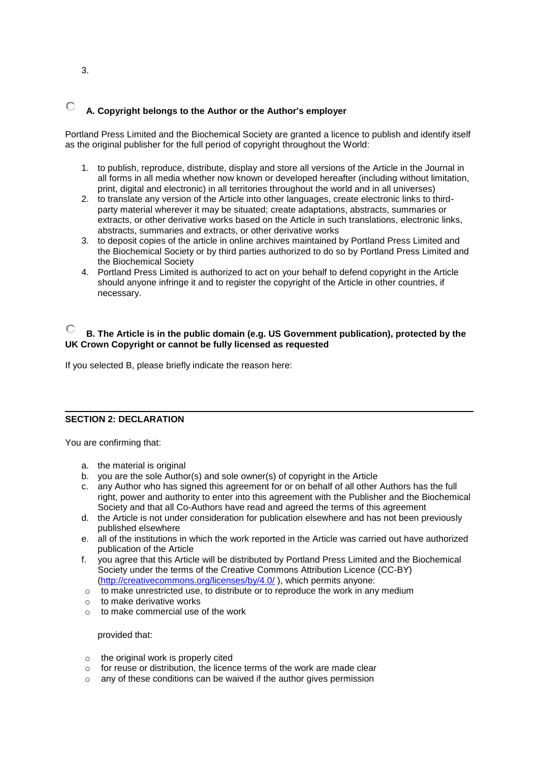#### О **A. Copyright belongs to the Author or the Author's employer**

Portland Press Limited and the Biochemical Society are granted a licence to publish and identify itself as the original publisher for the full period of copyright throughout the World:

- 1. to publish, reproduce, distribute, display and store all versions of the Article in the Journal in all forms in all media whether now known or developed hereafter (including without limitation, print, digital and electronic) in all territories throughout the world and in all universes)
- 2. to translate any version of the Article into other languages, create electronic links to thirdparty material wherever it may be situated; create adaptations, abstracts, summaries or extracts, or other derivative works based on the Article in such translations, electronic links, abstracts, summaries and extracts, or other derivative works
- 3. to deposit copies of the article in online archives maintained by Portland Press Limited and the Biochemical Society or by third parties authorized to do so by Portland Press Limited and the Biochemical Society
- 4. Portland Press Limited is authorized to act on your behalf to defend copyright in the Article should anyone infringe it and to register the copyright of the Article in other countries, if necessary.

# **B. The Article is in the public domain (e.g. US Government publication), protected by the UK Crown Copyright or cannot be fully licensed as requested**

If you selected B, please briefly indicate the reason here:

#### **SECTION 2: DECLARATION**

You are confirming that:

- a. the material is original
- b. you are the sole Author(s) and sole owner(s) of copyright in the Article
- c. any Author who has signed this agreement for or on behalf of all other Authors has the full right, power and authority to enter into this agreement with the Publisher and the Biochemical Society and that all Co-Authors have read and agreed the terms of this agreement
- d. the Article is not under consideration for publication elsewhere and has not been previously published elsewhere
- e. all of the institutions in which the work reported in the Article was carried out have authorized publication of the Article
- f. you agree that this Article will be distributed by Portland Press Limited and the Biochemical Society under the terms of the Creative Commons Attribution Licence (CC-BY) [\(http://creativecommons.org/licenses/by/4.0/](http://creativecommons.org/licenses/by/4.0/) ), which permits anyone:
- $\circ$  to make unrestricted use, to distribute or to reproduce the work in any medium
- o to make derivative works
- o to make commercial use of the work

#### provided that:

- $\circ$  the original work is properly cited
- o for reuse or distribution, the licence terms of the work are made clear
- any of these conditions can be waived if the author gives permission

3.